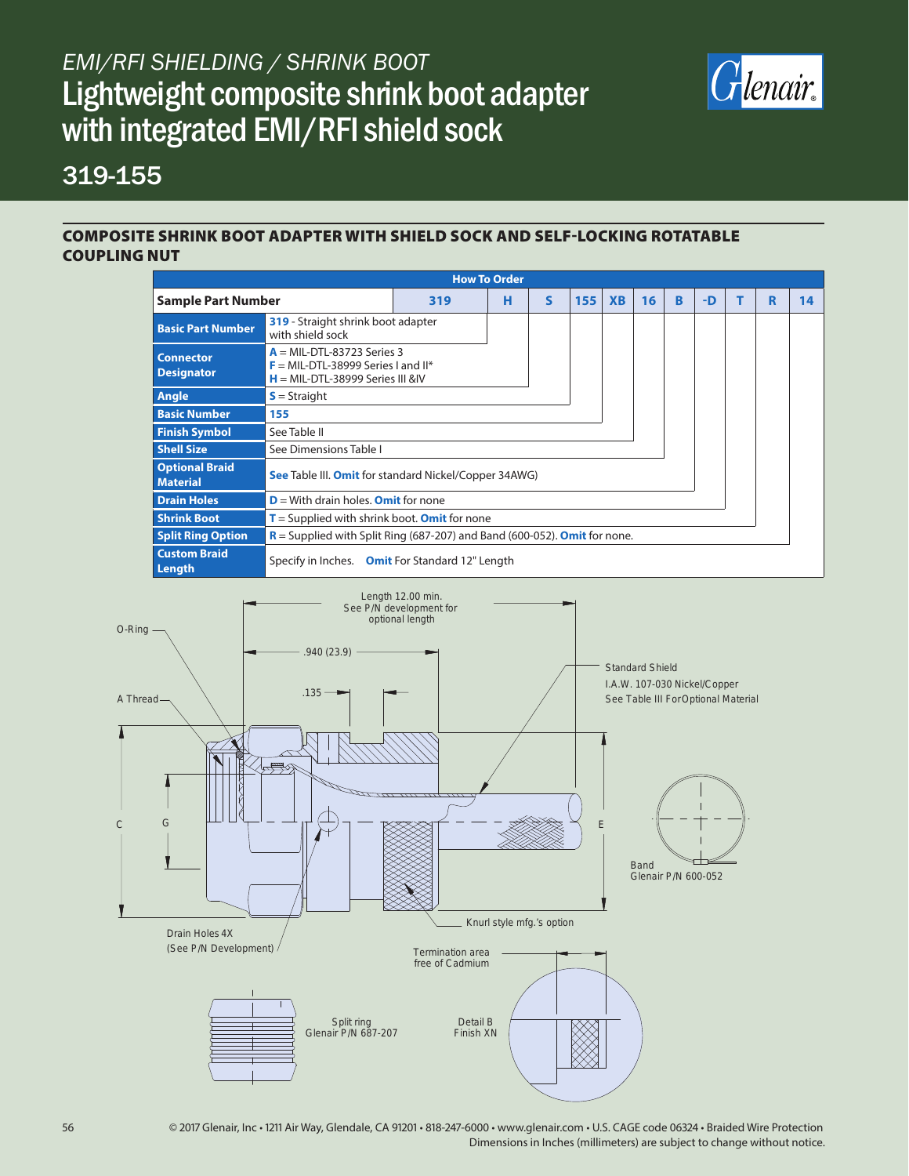# *EMI/RFI SHIELDING / SHRINK BOOT* Lightweight composite shrink boot adapter with integrated EMI/RFI shield sock



### 319-155

#### COMPOSITE SHRINK BOOT ADAPTER WITH SHIELD SOCK AND SELF-LOCKING ROTATABLE COUPLING NUT

|                                          |                                                                                                            |   | <b>How To Order</b> |     |           |    |   |      |  |   |    |  |
|------------------------------------------|------------------------------------------------------------------------------------------------------------|---|---------------------|-----|-----------|----|---|------|--|---|----|--|
| <b>Sample Part Number</b>                | 319                                                                                                        | н | S                   | 155 | <b>XB</b> | 16 | B | $-D$ |  | R | 14 |  |
| <b>Basic Part Number</b>                 | 319 - Straight shrink boot adapter<br>with shield sock                                                     |   |                     |     |           |    |   |      |  |   |    |  |
| <b>Connector</b><br><b>Designator</b>    | $A = MIL-DTL-83723$ Series 3<br>$F = MIL-DTL-38999$ Series I and II*<br>$H = MIL-DTL-38999$ Series III &IV |   |                     |     |           |    |   |      |  |   |    |  |
| Angle                                    | $S =$ Straight                                                                                             |   |                     |     |           |    |   |      |  |   |    |  |
| <b>Basic Number</b>                      | 155                                                                                                        |   |                     |     |           |    |   |      |  |   |    |  |
| <b>Finish Symbol</b>                     | See Table II                                                                                               |   |                     |     |           |    |   |      |  |   |    |  |
| <b>Shell Size</b>                        | See Dimensions Table I                                                                                     |   |                     |     |           |    |   |      |  |   |    |  |
| <b>Optional Braid</b><br><b>Material</b> | <b>See Table III. Omit for standard Nickel/Copper 34AWG)</b>                                               |   |                     |     |           |    |   |      |  |   |    |  |
| <b>Drain Holes</b>                       | $D =$ With drain holes. Omit for none                                                                      |   |                     |     |           |    |   |      |  |   |    |  |
| <b>Shrink Boot</b>                       | $T =$ Supplied with shrink boot. <b>Omit</b> for none                                                      |   |                     |     |           |    |   |      |  |   |    |  |
| <b>Split Ring Option</b>                 | $R$ = Supplied with Split Ring (687-207) and Band (600-052). <b>Omit</b> for none.                         |   |                     |     |           |    |   |      |  |   |    |  |
| <b>Custom Braid</b><br>Length            | Specify in Inches. Omit For Standard 12" Length                                                            |   |                     |     |           |    |   |      |  |   |    |  |



56 © 2017 Glenair, Inc • 1211 Air Way, Glendale, CA 91201 • 818-247-6000 • www.glenair.com • U.S. CAGE code 06324 • Braided Wire Protection Dimensions in Inches (millimeters) are subject to change without notice.